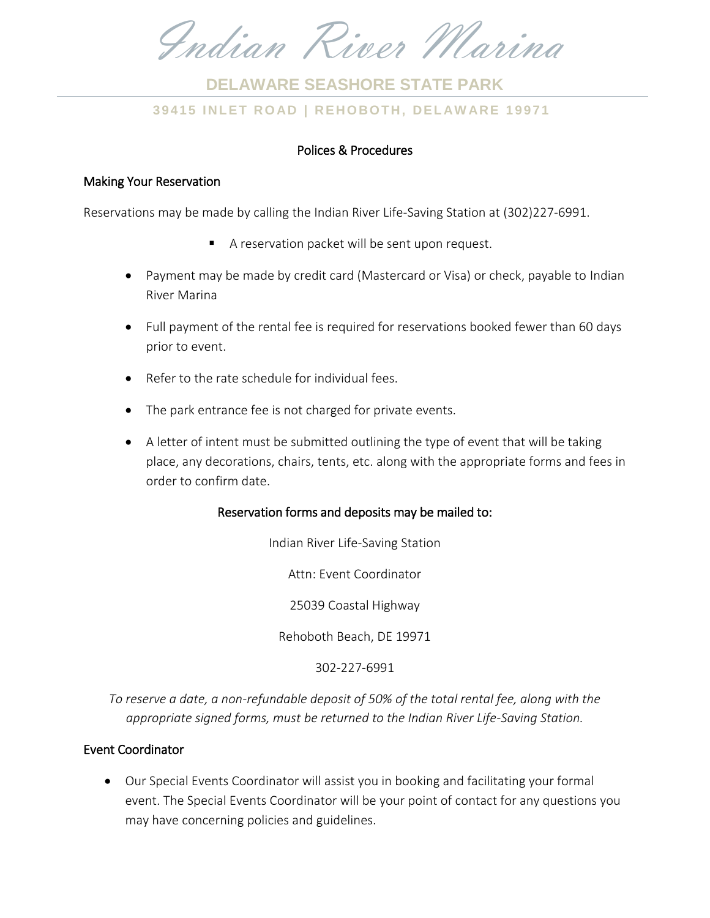Indian River Marina

# **3 9 4 1 5 I NLET RO AD | REHO BO TH , DEL AW ARE 19971 DELAWARE SEASHORE STATE PARK**

# Polices & Procedures

#### Making Your Reservation

Reservations may be made by calling the Indian River Life-Saving Station at (302)227-6991.

- A reservation packet will be sent upon request.
- Payment may be made by credit card (Mastercard or Visa) or check, payable to Indian River Marina
- Full payment of the rental fee is required for reservations booked fewer than 60 days prior to event.
- Refer to the rate schedule for individual fees.
- The park entrance fee is not charged for private events.
- A letter of intent must be submitted outlining the type of event that will be taking place, any decorations, chairs, tents, etc. along with the appropriate forms and fees in order to confirm date.

### Reservation forms and deposits may be mailed to:

Indian River Life-Saving Station Attn: Event Coordinator

25039 Coastal Highway

Rehoboth Beach, DE 19971

302-227-6991

*To reserve a date, a non-refundable deposit of 50% of the total rental fee, along with the appropriate signed forms, must be returned to the Indian River Life-Saving Station.*

### Event Coordinator

 Our Special Events Coordinator will assist you in booking and facilitating your formal event. The Special Events Coordinator will be your point of contact for any questions you may have concerning policies and guidelines.